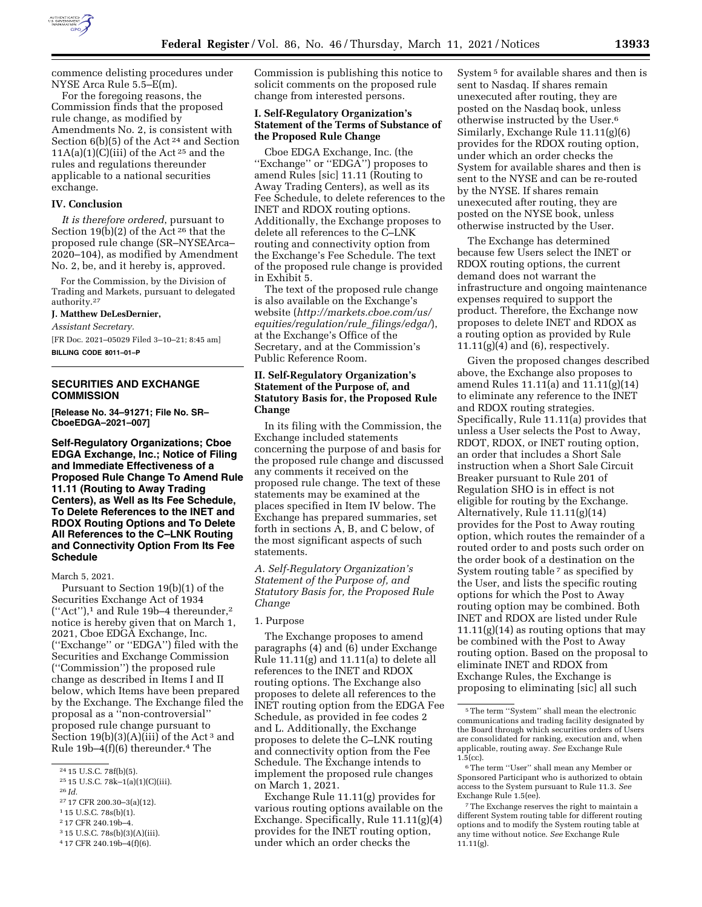

commence delisting procedures under NYSE Arca Rule 5.5–E(m).

For the foregoing reasons, the Commission finds that the proposed rule change, as modified by Amendments No. 2, is consistent with Section 6(b)(5) of the Act<sup>24</sup> and Section  $11A(a)(1)(C)(iii)$  of the Act<sup>25</sup> and the rules and regulations thereunder applicable to a national securities exchange.

#### **IV. Conclusion**

*It is therefore ordered*, pursuant to Section 19(b)(2) of the Act 26 that the proposed rule change (SR–NYSEArca– 2020–104), as modified by Amendment No. 2, be, and it hereby is, approved.

For the Commission, by the Division of Trading and Markets, pursuant to delegated authority.27

# **J. Matthew DeLesDernier,**

*Assistant Secretary.* 

[FR Doc. 2021–05029 Filed 3–10–21; 8:45 am] **BILLING CODE 8011–01–P** 

## **SECURITIES AND EXCHANGE COMMISSION**

**[Release No. 34–91271; File No. SR– CboeEDGA–2021–007]** 

**Self-Regulatory Organizations; Cboe EDGA Exchange, Inc.; Notice of Filing and Immediate Effectiveness of a Proposed Rule Change To Amend Rule 11.11 (Routing to Away Trading Centers), as Well as Its Fee Schedule, To Delete References to the INET and RDOX Routing Options and To Delete All References to the C–LNK Routing and Connectivity Option From Its Fee Schedule** 

#### March 5, 2021.

Pursuant to Section 19(b)(1) of the Securities Exchange Act of 1934  $("Act")$ ,<sup>1</sup> and Rule 19b-4 thereunder,<sup>2</sup> notice is hereby given that on March 1, 2021, Cboe EDGA Exchange, Inc. (''Exchange'' or ''EDGA'') filed with the Securities and Exchange Commission (''Commission'') the proposed rule change as described in Items I and II below, which Items have been prepared by the Exchange. The Exchange filed the proposal as a ''non-controversial'' proposed rule change pursuant to Section  $19(b)(3)(A)(iii)$  of the Act<sup>3</sup> and Rule 19b–4(f)(6) thereunder.4 The

Commission is publishing this notice to solicit comments on the proposed rule change from interested persons.

## **I. Self-Regulatory Organization's Statement of the Terms of Substance of the Proposed Rule Change**

Cboe EDGA Exchange, Inc. (the "Exchange" or "EDGA") proposes to amend Rules [sic] 11.11 (Routing to Away Trading Centers), as well as its Fee Schedule, to delete references to the INET and RDOX routing options. Additionally, the Exchange proposes to delete all references to the C–LNK routing and connectivity option from the Exchange's Fee Schedule. The text of the proposed rule change is provided in Exhibit 5.

The text of the proposed rule change is also available on the Exchange's website (*[http://markets.cboe.com/us/](http://markets.cboe.com/us/equities/regulation/rule_filings/edga/) [equities/regulation/rule](http://markets.cboe.com/us/equities/regulation/rule_filings/edga/)*\_*filings/edga/*), at the Exchange's Office of the Secretary, and at the Commission's Public Reference Room.

# **II. Self-Regulatory Organization's Statement of the Purpose of, and Statutory Basis for, the Proposed Rule Change**

In its filing with the Commission, the Exchange included statements concerning the purpose of and basis for the proposed rule change and discussed any comments it received on the proposed rule change. The text of these statements may be examined at the places specified in Item IV below. The Exchange has prepared summaries, set forth in sections A, B, and C below, of the most significant aspects of such statements.

*A. Self-Regulatory Organization's Statement of the Purpose of, and Statutory Basis for, the Proposed Rule Change* 

# 1. Purpose

The Exchange proposes to amend paragraphs (4) and (6) under Exchange Rule 11.11(g) and 11.11(a) to delete all references to the INET and RDOX routing options. The Exchange also proposes to delete all references to the INET routing option from the EDGA Fee Schedule, as provided in fee codes 2 and L. Additionally, the Exchange proposes to delete the C–LNK routing and connectivity option from the Fee Schedule. The Exchange intends to implement the proposed rule changes on March 1, 2021.

Exchange Rule 11.11(g) provides for various routing options available on the Exchange. Specifically, Rule 11.11(g)(4) provides for the INET routing option, under which an order checks the

System 5 for available shares and then is sent to Nasdaq. If shares remain unexecuted after routing, they are posted on the Nasdaq book, unless otherwise instructed by the User.6 Similarly, Exchange Rule 11.11(g)(6) provides for the RDOX routing option, under which an order checks the System for available shares and then is sent to the NYSE and can be re-routed by the NYSE. If shares remain unexecuted after routing, they are posted on the NYSE book, unless otherwise instructed by the User.

The Exchange has determined because few Users select the INET or RDOX routing options, the current demand does not warrant the infrastructure and ongoing maintenance expenses required to support the product. Therefore, the Exchange now proposes to delete INET and RDOX as a routing option as provided by Rule  $11.11(g)(4)$  and  $(6)$ , respectively.

Given the proposed changes described above, the Exchange also proposes to amend Rules 11.11(a) and 11.11(g)(14) to eliminate any reference to the INET and RDOX routing strategies. Specifically, Rule 11.11(a) provides that unless a User selects the Post to Away, RDOT, RDOX, or INET routing option, an order that includes a Short Sale instruction when a Short Sale Circuit Breaker pursuant to Rule 201 of Regulation SHO is in effect is not eligible for routing by the Exchange. Alternatively, Rule 11.11(g)(14) provides for the Post to Away routing option, which routes the remainder of a routed order to and posts such order on the order book of a destination on the System routing table 7 as specified by the User, and lists the specific routing options for which the Post to Away routing option may be combined. Both INET and RDOX are listed under Rule  $11.11(g)(14)$  as routing options that may be combined with the Post to Away routing option. Based on the proposal to eliminate INET and RDOX from Exchange Rules, the Exchange is proposing to eliminating [sic] all such

<sup>24</sup> 15 U.S.C. 78f(b)(5).

<sup>25</sup> 15 U.S.C. 78k–1(a)(1)(C)(iii).

<sup>26</sup> *Id.* 

<sup>27</sup> 17 CFR 200.30–3(a)(12).

<sup>1</sup> 15 U.S.C. 78s(b)(1).

<sup>2</sup> 17 CFR 240.19b–4.

<sup>3</sup> 15 U.S.C. 78s(b)(3)(A)(iii).

<sup>4</sup> 17 CFR 240.19b–4(f)(6).

<sup>5</sup>The term ''System'' shall mean the electronic communications and trading facility designated by the Board through which securities orders of Users are consolidated for ranking, execution and, when applicable, routing away. *See* Exchange Rule 1.5(cc).

<sup>6</sup>The term ''User'' shall mean any Member or Sponsored Participant who is authorized to obtain access to the System pursuant to Rule 11.3. *See*  Exchange Rule 1.5(ee).

<sup>7</sup>The Exchange reserves the right to maintain a different System routing table for different routing options and to modify the System routing table at any time without notice. *See* Exchange Rule 11.11(g).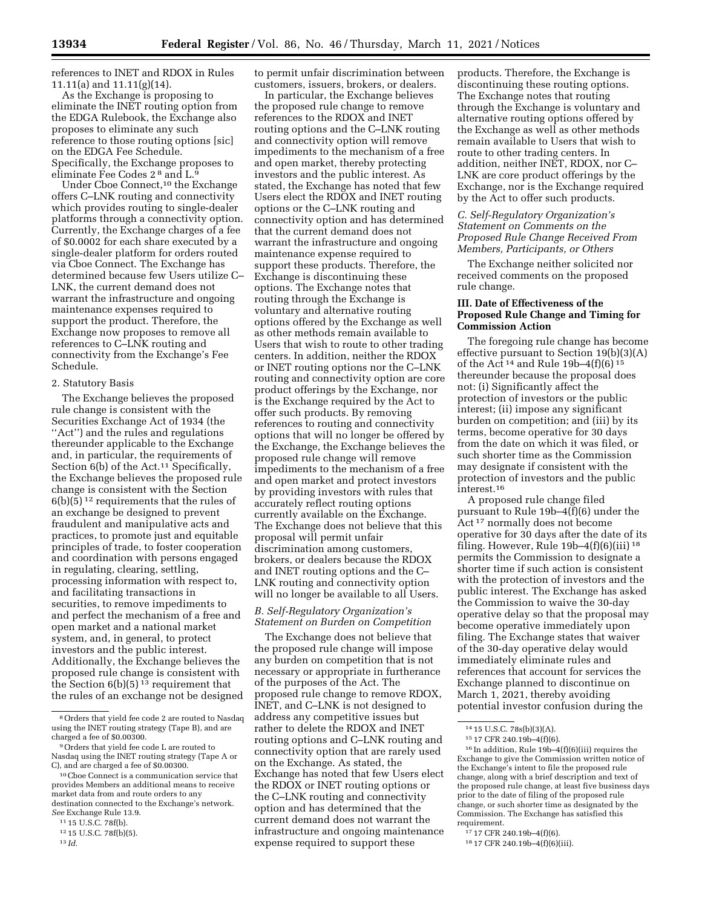references to INET and RDOX in Rules 11.11(a) and 11.11(g)(14).

As the Exchange is proposing to eliminate the INET routing option from the EDGA Rulebook, the Exchange also proposes to eliminate any such reference to those routing options [sic] on the EDGA Fee Schedule. Specifically, the Exchange proposes to eliminate Fee Codes 2 8 and L.9

Under Cboe Connect,10 the Exchange offers C–LNK routing and connectivity which provides routing to single-dealer platforms through a connectivity option. Currently, the Exchange charges of a fee of \$0.0002 for each share executed by a single-dealer platform for orders routed via Cboe Connect. The Exchange has determined because few Users utilize C– LNK, the current demand does not warrant the infrastructure and ongoing maintenance expenses required to support the product. Therefore, the Exchange now proposes to remove all references to C–LNK routing and connectivity from the Exchange's Fee Schedule.

### 2. Statutory Basis

The Exchange believes the proposed rule change is consistent with the Securities Exchange Act of 1934 (the "Act") and the rules and regulations thereunder applicable to the Exchange and, in particular, the requirements of Section  $6(b)$  of the Act.<sup>11</sup> Specifically, the Exchange believes the proposed rule change is consistent with the Section  $6(b)(5)^{12}$  requirements that the rules of an exchange be designed to prevent fraudulent and manipulative acts and practices, to promote just and equitable principles of trade, to foster cooperation and coordination with persons engaged in regulating, clearing, settling, processing information with respect to, and facilitating transactions in securities, to remove impediments to and perfect the mechanism of a free and open market and a national market system, and, in general, to protect investors and the public interest. Additionally, the Exchange believes the proposed rule change is consistent with the Section  $6(b)(5)^{13}$  requirement that the rules of an exchange not be designed

13 *Id.* 

to permit unfair discrimination between customers, issuers, brokers, or dealers.

In particular, the Exchange believes the proposed rule change to remove references to the RDOX and INET routing options and the C–LNK routing and connectivity option will remove impediments to the mechanism of a free and open market, thereby protecting investors and the public interest. As stated, the Exchange has noted that few Users elect the RDOX and INET routing options or the C–LNK routing and connectivity option and has determined that the current demand does not warrant the infrastructure and ongoing maintenance expense required to support these products. Therefore, the Exchange is discontinuing these options. The Exchange notes that routing through the Exchange is voluntary and alternative routing options offered by the Exchange as well as other methods remain available to Users that wish to route to other trading centers. In addition, neither the RDOX or INET routing options nor the C–LNK routing and connectivity option are core product offerings by the Exchange, nor is the Exchange required by the Act to offer such products. By removing references to routing and connectivity options that will no longer be offered by the Exchange, the Exchange believes the proposed rule change will remove impediments to the mechanism of a free and open market and protect investors by providing investors with rules that accurately reflect routing options currently available on the Exchange. The Exchange does not believe that this proposal will permit unfair discrimination among customers, brokers, or dealers because the RDOX and INET routing options and the C– LNK routing and connectivity option will no longer be available to all Users.

# *B. Self-Regulatory Organization's Statement on Burden on Competition*

The Exchange does not believe that the proposed rule change will impose any burden on competition that is not necessary or appropriate in furtherance of the purposes of the Act. The proposed rule change to remove RDOX, INET, and C–LNK is not designed to address any competitive issues but rather to delete the RDOX and INET routing options and C–LNK routing and connectivity option that are rarely used on the Exchange. As stated, the Exchange has noted that few Users elect the RDOX or INET routing options or the C–LNK routing and connectivity option and has determined that the current demand does not warrant the infrastructure and ongoing maintenance expense required to support these

products. Therefore, the Exchange is discontinuing these routing options. The Exchange notes that routing through the Exchange is voluntary and alternative routing options offered by the Exchange as well as other methods remain available to Users that wish to route to other trading centers. In addition, neither INET, RDOX, nor C– LNK are core product offerings by the Exchange, nor is the Exchange required by the Act to offer such products.

# *C. Self-Regulatory Organization's Statement on Comments on the Proposed Rule Change Received From Members, Participants, or Others*

The Exchange neither solicited nor received comments on the proposed rule change.

### **III. Date of Effectiveness of the Proposed Rule Change and Timing for Commission Action**

The foregoing rule change has become effective pursuant to Section 19(b)(3)(A) of the Act 14 and Rule 19b–4(f)(6) 15 thereunder because the proposal does not: (i) Significantly affect the protection of investors or the public interest; (ii) impose any significant burden on competition; and (iii) by its terms, become operative for 30 days from the date on which it was filed, or such shorter time as the Commission may designate if consistent with the protection of investors and the public interest.16

A proposed rule change filed pursuant to Rule 19b–4(f)(6) under the Act 17 normally does not become operative for 30 days after the date of its filing. However, Rule 19b–4(f)(6)(iii) 18 permits the Commission to designate a shorter time if such action is consistent with the protection of investors and the public interest. The Exchange has asked the Commission to waive the 30-day operative delay so that the proposal may become operative immediately upon filing. The Exchange states that waiver of the 30-day operative delay would immediately eliminate rules and references that account for services the Exchange planned to discontinue on March 1, 2021, thereby avoiding potential investor confusion during the

16 In addition, Rule 19b–4(f)(6)(iii) requires the Exchange to give the Commission written notice of the Exchange's intent to file the proposed rule change, along with a brief description and text of the proposed rule change, at least five business days prior to the date of filing of the proposed rule change, or such shorter time as designated by the Commission. The Exchange has satisfied this requirement.

<sup>8</sup>Orders that yield fee code 2 are routed to Nasdaq using the INET routing strategy (Tape B), and are charged a fee of \$0.00300.

<sup>9</sup>Orders that yield fee code L are routed to Nasdaq using the INET routing strategy (Tape A or C), and are charged a fee of \$0.00300.

<sup>10</sup>Cboe Connect is a communication service that provides Members an additional means to receive market data from and route orders to any destination connected to the Exchange's network. *See* Exchange Rule 13.9.

<sup>11</sup> 15 U.S.C. 78f(b).

<sup>12</sup> 15 U.S.C. 78f(b)(5).

<sup>14</sup> 15 U.S.C. 78s(b)(3)(A).

<sup>15</sup> 17 CFR 240.19b–4(f)(6).

<sup>17</sup> 17 CFR 240.19b–4(f)(6).

<sup>18</sup> 17 CFR 240.19b–4(f)(6)(iii).